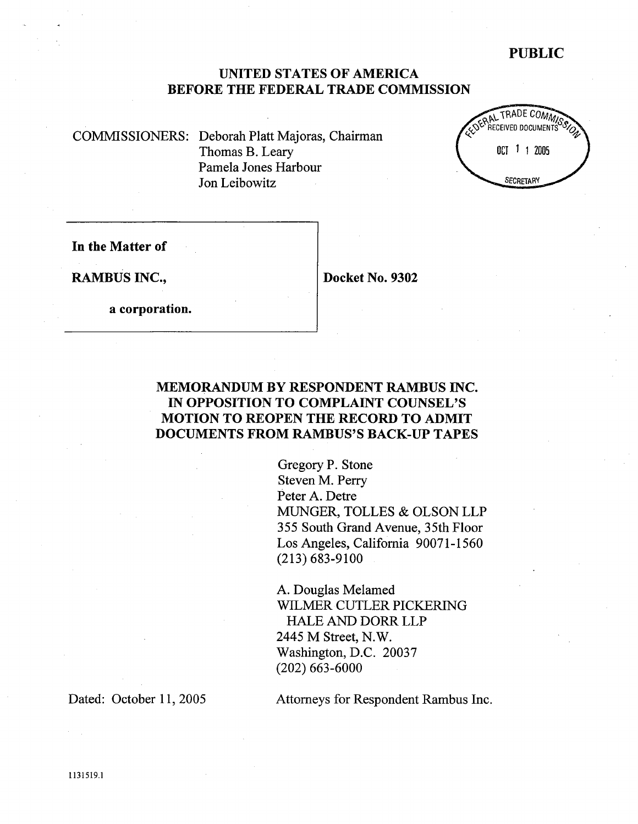# PUBLIC

# UNITED STATES OF AMERICA BEFORE THE FEDERAL TRADE COMMISSION

COMMSSIONERS: Deborah Platt Majoras, Chairman Thomas B. Leary Pamela Jones Harbour Jon Leibowitz



In the Matter of

RAMBUS INC., Docket No. 9302

a corporation.

# MEMORANDUM BY RESPONDENT RAMBUS INC. IN OPPOSITION TO COMPLAINT COUNSEL' MOTION TO REOPEN THE RECORD TO ADMIT DOCUMENTS FROM RAMBUS'S BACK-UP TAPES

Gregory P. Stone Steven M. Perr Peter A. Detre MUGER, TOLLES & OLSON LLP 355 South Grand Avenue, 35th Floor Los Angeles, California 90071-1560 (213) 683-9100

A. Douglas Melamed WILMER CUTLER PICKERING HALE AND DORR LLP 2445 M Street, N. Washington, D.C. 20037 (202) 663-6000

Dated: October 11, 2005 Attorneys for Respondent Rambus Inc.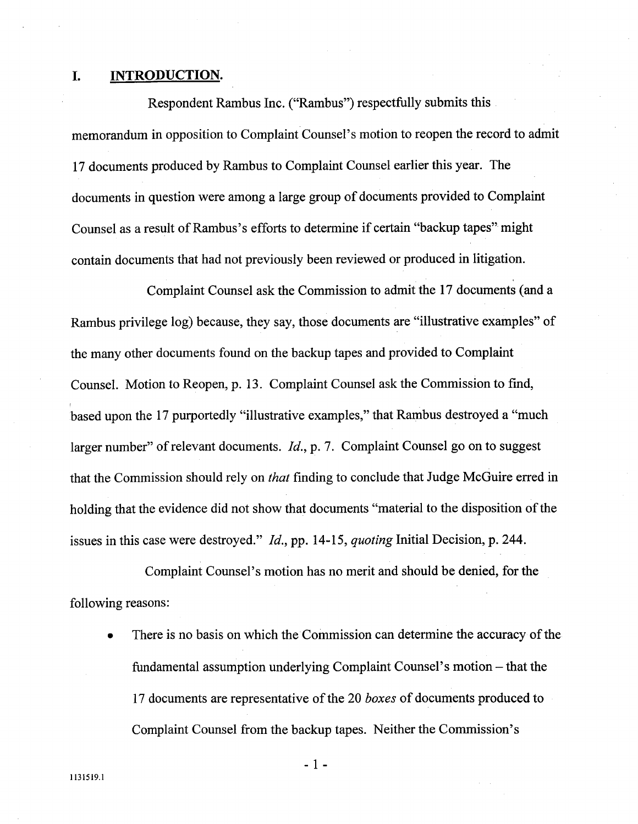#### L. INTRODUCTION.

Respondent Rambus Inc. ("Rambus") respectfully submits this memorandum in opposition to Complaint Counsel's motion to reopen the record to admit 17 documents produced by Rambus to Complaint Counsel earlier this year. The documents in question were among a large group of documents provided to Complaint Counsel as a result of Rambus's efforts to determine if certain "backup tapes" might contain documents that had not previously been reviewed or produced in litigation.

Complaint Counsel ask the Commission to admit the 17 documents (and a Rambus privilege log) because, they say, those documents are "ilustrative examples" of the many other documents found on the backup tapes and provided to Complaint Counsel. Motion to Reopen, p. 13. Complaint Counsel ask the Commission to find based upon the 17 purportedly "illustrative examples," that Rambus destroyed a "much" larger number" of relevant documents. *Id.*, p. 7. Complaint Counsel go on to suggest that the Commission should rely on *that* finding to conclude that Judge McGuire erred in holding that the evidence did not show that documents "material to the disposition of the issues in this case were destroyed." *Id.*, pp. 14-15, *quoting* Initial Decision, p. 244.

Complaint Counsel's motion has no merit and should be denied, for the following reasons:

There is no basis on which the Commission can determine the accuracy of the fundamental assumption underlying Complaint Counsel's motion – that the 17 documents are representative of the 20 boxes of documents produced to Complaint Counsel from the backup tapes. Neither the Commission

113519.

- 1 -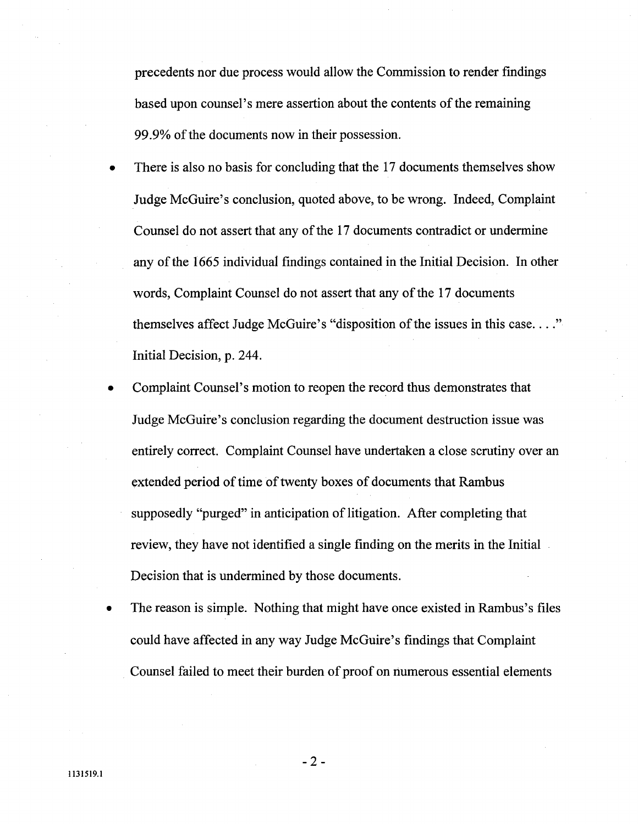precedents nor due process would allow the Commission to render findings based upon counsel's mere assertion about the contents of the remaining 99.9% of the documents now in their possession.

- There is also no basis for concluding that the 17 documents themselves show Judge McGuire's conclusion, quoted above, to be wrong. Indeed, Complaint Counsel do not assert that any of the 17 documents contradict or undermine any of the 1665 individual findings contained in the Initial Decision. In other words, Complaint Counsel do not assert that any of the 17 documents themselves affect Judge McGuire's "disposition of the issues in this case...." Initial Decision, p. 244.
- Complaint Counsel's motion to reopen the record thus demonstrates that Judge McGuire's conclusion regarding the document destruction issue was entirely correct. Complaint Counsel have undertaken a close scrutiny over an extended period of time of twenty boxes of documents that Rambus supposedly "purged" in anticipation of litigation. After completing that review, they have not identified a single finding on the merits in the Initial Decision that is undermined by those documents.
- The reason is simple. Nothing that might have once existed in Rambus's files could have affected in any way Judge McGuire's findings that Complaint Counsel failed to meet their burden of proof on numerous essential elements

- 2-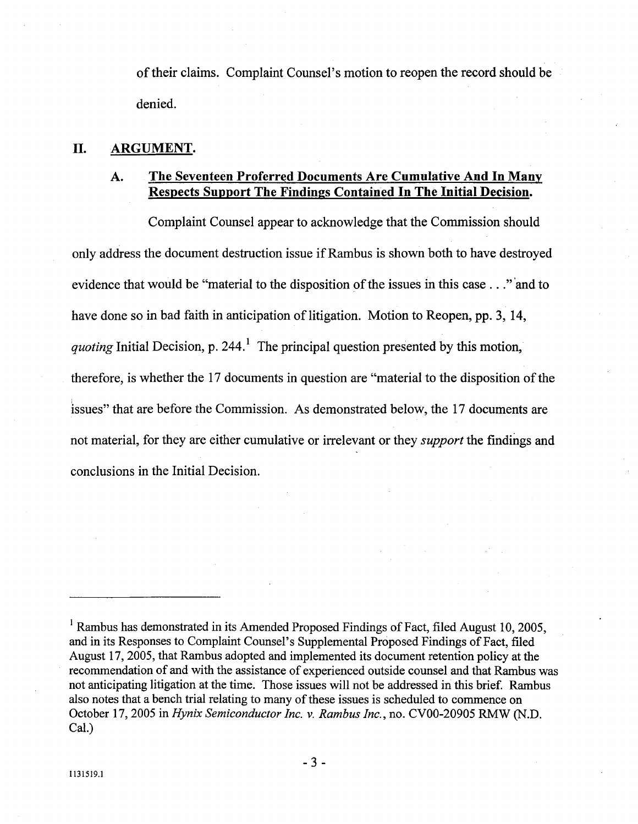of their claims. Complaint Counsel's motion to reopen the record should be denied.

### II. ARGUMENT.

#### The Seventeen Proferred Documents Are Cumulative And In Manv A. Respects Support The Findings Contained In The Initial Decision.

Complaint Counsel appear to acknowledge that the Commission should only address the document destruction issue if Rambus is shown both to have destroyed evidence that would be "material to the disposition of the issues in this case..." and to have done so in bad faith in anticipation of litigation. Motion to Reopen, pp. 3, 14 quoting Initial Decision, p. 244.<sup>1</sup> The principal question presented by this motion, therefore, is whether the 17 documents in question are "material to the disposition of the issues" that are before the Commission. As demonstrated below, the 17 documents are not material, for they are either cumulative or irrelevant or they *support* the findings and conclusions in the Initial Decision.

<sup>&</sup>lt;sup>1</sup> Rambus has demonstrated in its Amended Proposed Findings of Fact, filed August 10, 2005, and in its Responses to Complaint Counsel's Supplemental Proposed Findings of Fact, filed August 17 2005, that Rambus adopted and implemented its document retention policy at the recommendation of and with the assistance of experienced outside counsel and that Rambus was not anticipating litigation at the time. Those issues will not be addressed in this brief. Rambus also notes that a bench trial relating to many of these issues is scheduled to commence on October 17, 2005 in Hynix Semiconductor Inc. v. Rambus Inc., no. CV00-20905 RMW (N.D. Cal.)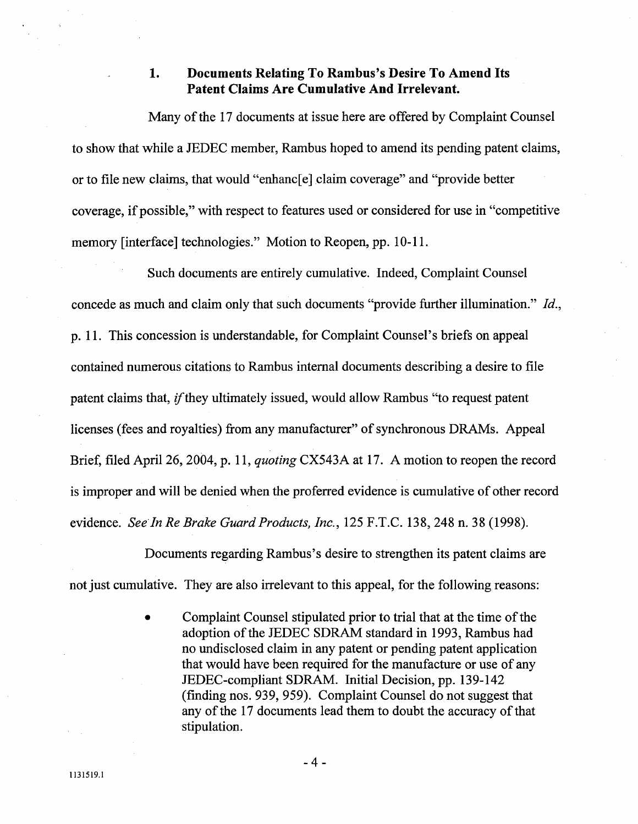#### 1. Documents Relating To Rambus's Desire To Amend Its Patent Claims Are Cumulative And Irrelevant.

Many of the 17 documents at issue here are offered by Complaint Counsel to show that while a JEDEC member, Rambus hoped to amend its pending patent claims or to file new claims, that would "enhanc( e) claim coverage" and "provide better coverage, if possible," with respect to features used or considered for use in "competitive" memory [interface] technologies." Motion to Reopen, pp. 10-11.

Such documents are entirely cumulative. Indeed, Complaint Counsel concede as much and claim only that such documents "provide further illumination." Id., p. 11. This concession is understandable, for Complaint Counsel' s briefs on appeal contained numerous citations to Rambus internal documents describing a desire to file patent claims that, *if* they ultimately issued, would allow Rambus "to request patent" licenses (fees and royalties) from any manufacturer" of synchronous DRAMs. Appeal Brief, filed April 26, 2004, p. 11, quoting CX543A at 17. A motion to reopen the record is improper and will be denied when the proferred evidence is cumulative of other record evidence. See In Re Brake Guard Products, Inc., 125 F.T.C. 138, 248 n. 38 (1998).

Documents regarding Rambus's desire to strengthen its patent claims are not just cumulative. They are also irrelevant to this appeal, for the following reasons:

> Complaint Counsel stipulated prior to trial that at the time of the adoption of the JEDEC SDRAM standard in 1993, Rambus had no undisclosed claim in any patent or pending patent application that would have been required for the manufacture or use of any JEDEC-compliant SDRAM. Initial Decision, pp. 139-142 (finding nos. 939, 959). Complaint Counsel do not suggest that any of the 17 documents lead them to doubt the accuracy of that stipulation.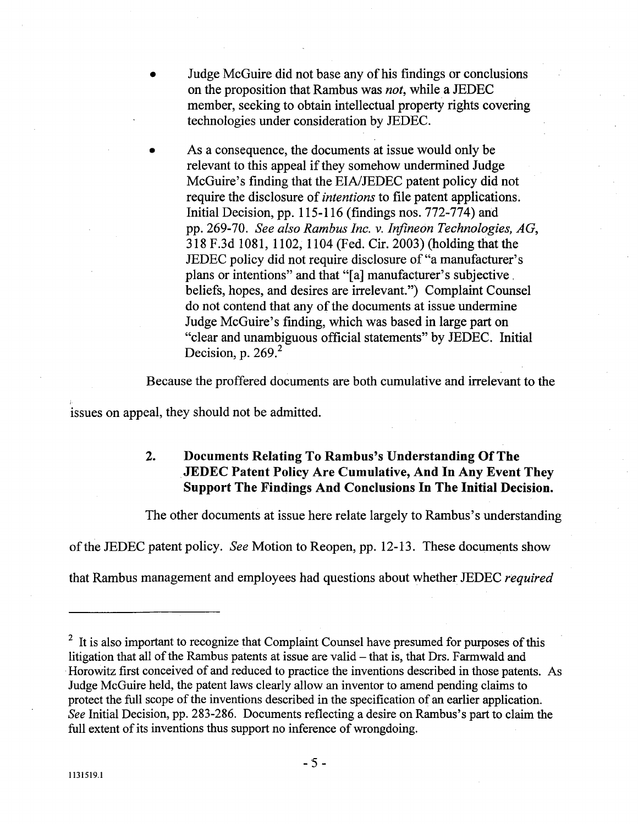- Judge McGuire did not base any of his findings or conclusions on the proposition that Rambus was not, while a JEDEC member, seeking to obtain intellectual property rights covering technologies under consideration by JEDEC.
	- As a consequence, the documents at issue would only be relevant to this appeal if they somehow undermined Judge McGuire's finding that the EIA/JEDEC patent policy did not require the disclosure of *intentions* to file patent applications. Initial Decision, pp. 115-116 (findings nos. 772-774) and pp. 269-70. See also Rambus Inc. v. Infineon Technologies, AG, 318 F.3d 1081, 1102, 1104 (Fed. Cir. 2003) (holding that the JEDEC policy did not require disclosure of "a manufacturer plans or intentions" and that "[a] manufacturer's subjective, beliefs, hopes, and desires are irrelevant.") Complaint Counsel do not contend that any of the documents at issue undermine Judge McGuire's finding, which was based in large part on clear and unambiguous official statements" by JEDEC. Initial Decision, p.  $269<sup>2</sup>$

Because the proffered documents are both cumulative and irrelevant to the

issues on appeal, they should not be admitted.

### $2.$ Documents Relating To Rambus's Understanding Of The JEDEC Patent Policy Are Cumulative, And In Any Event They Support The Findings And Conclusions In The Initial Decision.

The other documents at issue here relate largely to Rambus's understanding

of the JEDEC patent policy. See Motion to Reopen, pp. 12- 13. These documents show

that Rambus management and employees had questions about whether JEDEC required

 $2\,$  It is also important to recognize that Complaint Counsel have presumed for purposes of this litigation that all of the Rambus patents at issue are valid  $-$  that is, that Drs. Farmwald and Horowitz first conceived of and reduced to practice the inventions described in those patents. Judge McGuire held, the patent laws clearly allow an inventor to amend pending claims to protect the full scope of the inventions described in the specification of an earlier application. See Initial Decision, pp. 283-286. Documents reflecting a desire on Rambus's part to claim the full extent of its inventions thus support no inference of wrongdoing.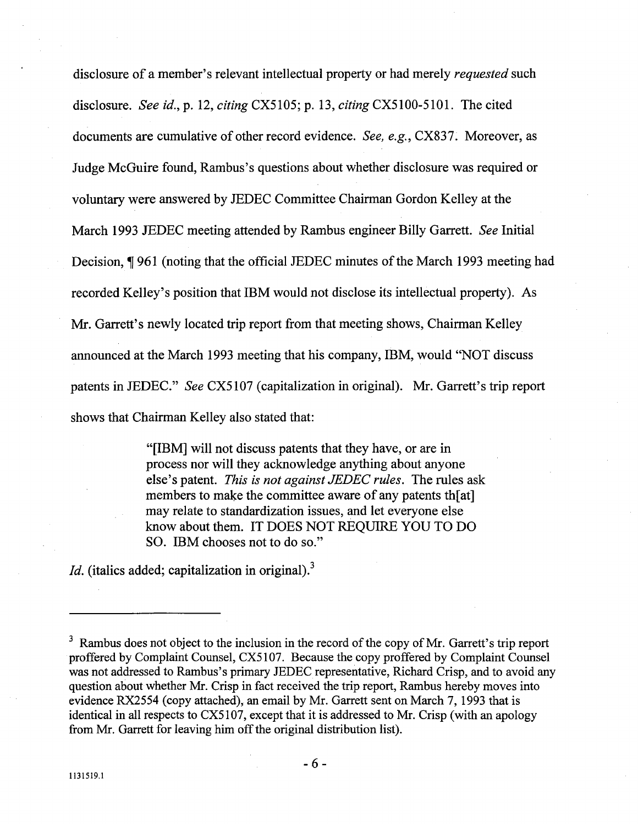disclosure of a member's relevant intellectual property or had merely *requested* such disclosure. See id., p. 12, citing CX5105; p. 13, citing CX5100-5101. The cited documents are cumulative of other record evidence. See, e.g., CX837. Moreover, as Judge McGuire found, Rambus's questions about whether disclosure was required or voluntary were answered by JEDEC Committee Chairman Gordon Kelley at the March 1993 JEDEC meeting attended by Rambus engineer Billy Garrett. See Initial Decision, 1961 (noting that the official JEDEC minutes of the March 1993 meeting had recorded Kelley's position that IBM would not disclose its intellectual property). As Mr. Garrett's newly located trip report from that meeting shows, Chairman Kelley anounced at the March 1993 meeting that his company, IBM, would "NOT discuss patents in JEDEC." See CX5107 (capitalization in original). Mr. Garrett's trip report shows that Chairman Kelley also stated that:

> "[IBM] will not discuss patents that they have, or are in process nor will they acknowledge anything about anyone else's patent. This is not against JEDEC rules. The rules ask members to make the committee aware of any patents th[at] may relate to standardization issues, and let everyone else know about them. IT DOES NOT REQUIRE YOU TO DO SO. IBM chooses not to do so.

*Id.* (italics added; capitalization in original).<sup>3</sup>

 $3$  Rambus does not object to the inclusion in the record of the copy of Mr. Garrett's trip report proffered by Complaint Counsel, CX5107. Because the copy proffered by Complaint Counsel was not addressed to Rambus's primary JEDEC representative, Richard Crisp, and to avoid any question about whether Mr. Crisp in fact received the trip report, Rambus hereby moves into evidence RX2554 (copy attached), an email by Mr. Garett sent on March 7, 1993 that is identical in all respects to CX5107, except that it is addressed to Mr. Crisp (with an apology from Mr. Garett for leaving him off the original distribution list).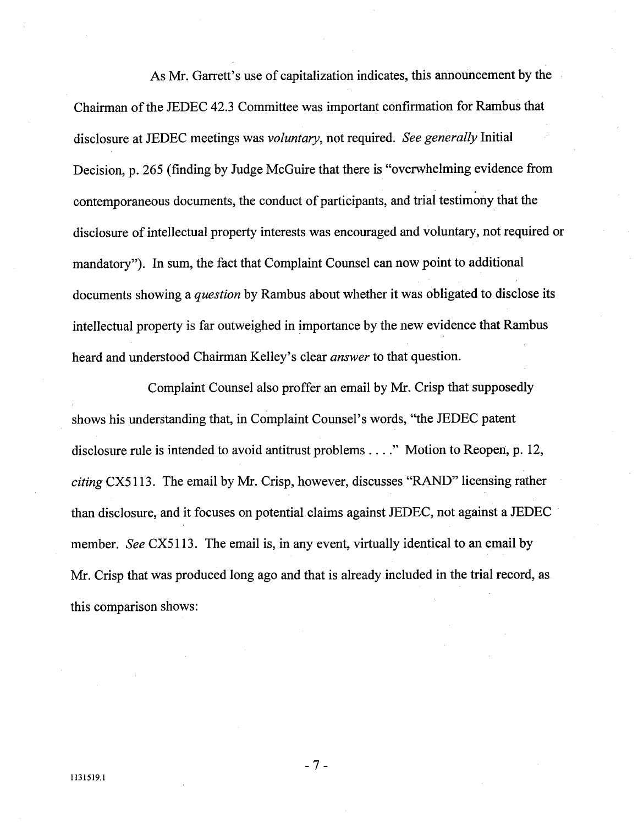As Mr. Garrett's use of capitalization indicates, this announcement by the Chairman of the JEDEC 42.3 Committee was important confirmation for Rambus that disclosure at JEDEC meetings was voluntary, not required. See generally Initial Decision, p. 265 (finding by Judge McGuire that there is "overwhelming evidence from contemporaneous documents, the conduct of participants, and trial testimony that the disclosure of intellectual property interests was encouraged and voluntary, not required or mandatory"). In sum, the fact that Complaint Counsel can now point to additional documents showing a *question* by Rambus about whether it was obligated to disclose its intellectual property is far outweighed in importance by the new evidence that Rambus

heard and understood Chairman Kelley's clear *answer* to that question.<br>Complaint Counsel also proffer an email by Mr. Crisp that supposedly shows his understanding that, in Complaint Counsel's words, "the JEDEC patent disclosure rule is intended to avoid antitrust problems . . . ." Motion to Reopen, p. 12,  $\text{citing CX5113.}$  The email by Mr. Crisp, however, discusses "RAND" licensing rather than disclosure, and it focuses on potential claims against JEDEC, not against a JEDEC member. See CX5113. The email is, in any event, virtually identical to an email by Mr. Crisp that was produced long ago and that is already included in the trial record, as this comparison shows:

- 7 -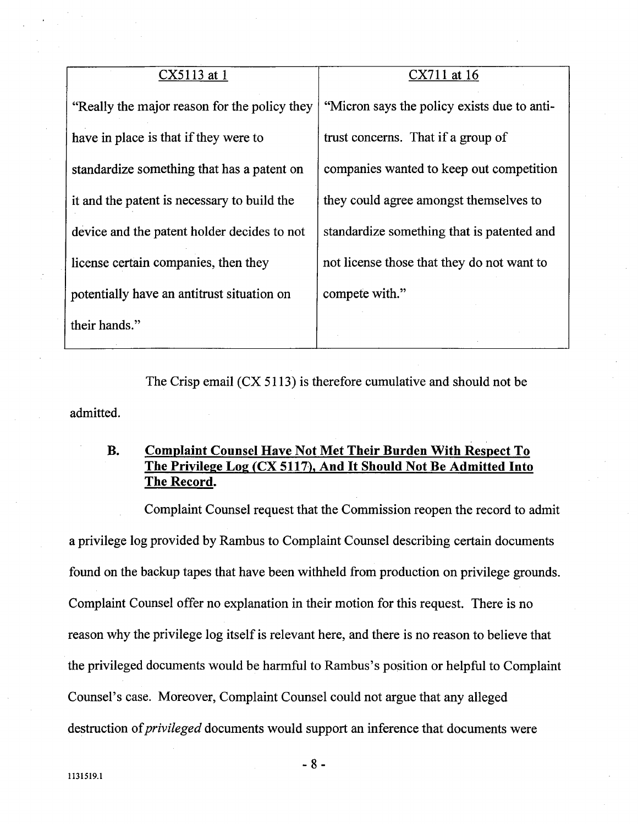# CX5113 at 1 CX711 at 16

Really the major reason for the policy they "Micron says the policy exists due to antihave in place is that if they were to  $\vert$  trust concerns. That if a group of standardize something that has a patent on  $\Box$  companies wanted to keep out competition it and the patent is necessary to build the  $\frac{1}{1}$  they could agree amongst themselves to device and the patent holder decides to not  $\parallel$  standardize something that is patented and license certain companies, then they  $\parallel$  not license those that they do not want to potentially have an antitrust situation on compete with." their hands.

The Crisp email (CX 5113) is therefore cumulative and should not be admitted.

### **B.** Complaint Counsel Have Not Met Their Burden With Respect To The Privilege Log (CX 5117), And It Should Not Be Admitted Into The Record.

Complaint Counsel request that the Commission reopen the record to admit a privilege log provided by Rambus to Complaint Counsel describing certain documents found on the backup tapes that have been withheld from production on privilege grounds. Complaint Counsel offer no explanation in their motion for this request. There is no reason why the privilege log itself is relevant here, and there is no reason to believe that the privileged documents would be harmful to Rambus's position or helpful to Complaint Counsel's case. Moreover, Complaint Counsel could not argue that any alleged destruction of *privileged* documents would support an inference that documents were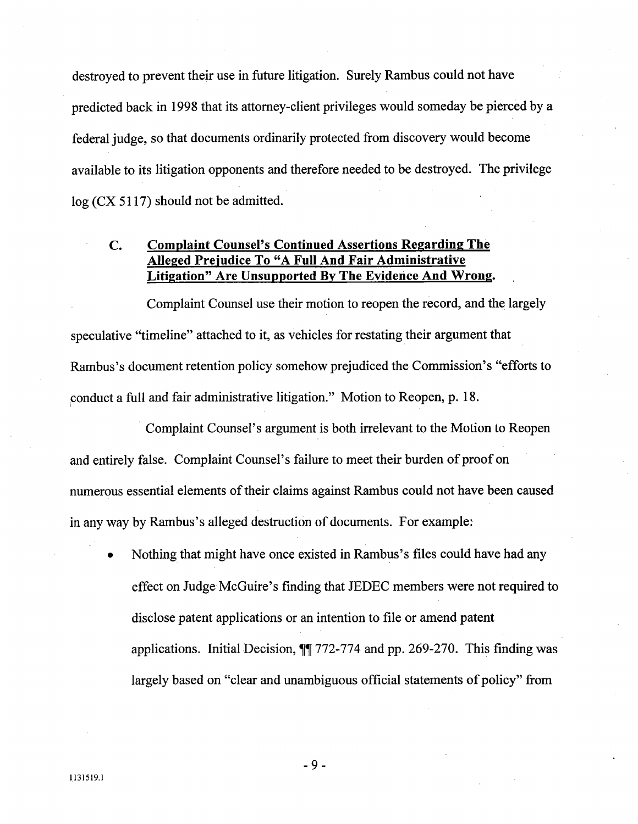destroyed to prevent their use in future litigation. Surely Rambus could not have predicted back in 1998 that its attorney-client privileges would someday be pierced by a federal judge, so that documents ordinarily protected from discovery would become available to its litigation opponents and therefore needed to be destroyed. The privilege log (CX 5117) should not be admitted.

### Complaint Counsel's Continued Assertions Regarding The C. Alleged Prejudice To "A Full And Fair Administrative Litigation" Are Unsupported By The Evidence And Wrong.

Complaint Counsel use their motion to reopen the record, and the largely speculative "timeline" attached to it, as vehicles for restating their argument that Rambus's document retention policy somehow prejudiced the Commission's "efforts to conduct a full and fair administrative litigation." Motion to Reopen, p. 18.

Complaint Counsel's argument is both irrelevant to the Motion to Reopen and entirely false. Complaint Counsel's failure to meet their burden of proof on numerous essential elements of their claims against Rambus could not have been caused in any way by Rambus's alleged destruction of documents. For example:

Nothing that might have once existed in Rambus's files could have had any effect on Judge McGuire's finding that JEDEC members were not required to disclose patent applications or an intention to file or amend patent applications. Initial Decision,  $\sqrt{\frac{4}{772}}$ -774 and pp. 269-270. This finding was largely based on "clear and unambiguous official statements of policy" from

 $-9-$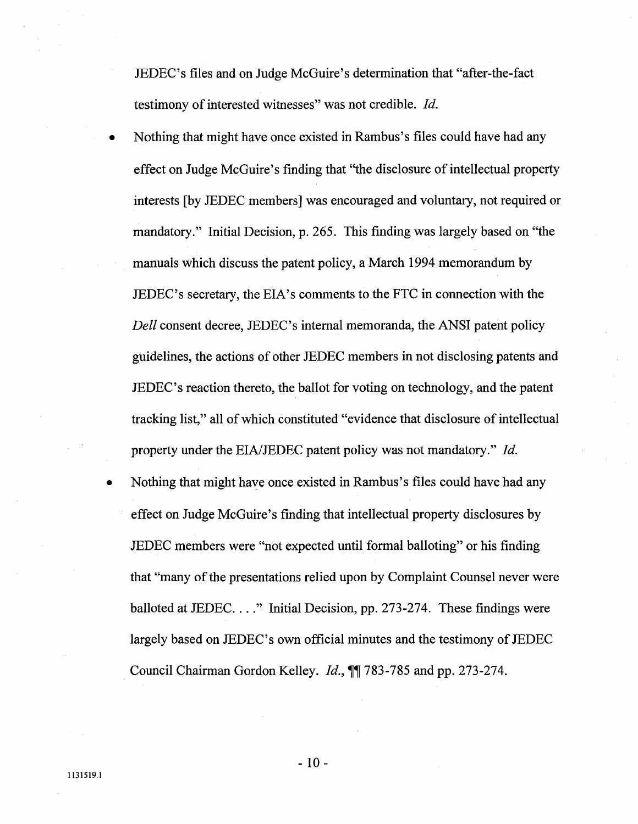JEDEC's files and on Judge McGuire's determination that "after-the-fact" testimony of interested witnesses" was not credible. Id.

- Nothing that might have once existed in Rambus's files could have had any effect on Judge McGuire's finding that "the disclosure of intellectual property interests (by JEDEC members) was encouraged and voluntary, not required or mandatory." Initial Decision, p. 265. This finding was largely based on "the manuals which discuss the patent policy, a March 1994 memorandum by JEDEC' s secretary, the EIA' s comments to the FTC in connection with the Dell consent decree, JEDEC's internal memoranda, the ANSI patent policy guidelines, the actions of other JEDEC members in not disclosing patents and JEDEC' s reaction thereto, the ballot for voting on technology, and the patent tracking list," all of which constituted "evidence that disclosure of intellectual property under the EIA/JEDEC patent policy was not mandatory." Id.
- Nothing that might have once existed in Rambus's files could have had any effect on Judge McGuire's finding that intellectual property disclosures by JEDEC members were "not expected until formal balloting" or his finding that " many of the presentations relied upon by Complaint Counsel never were balloted at JEDEC...." Initial Decision, pp. 273-274. These findings were largely based on JEDEC's own official minutes and the testimony of JEDEC Council Chairman Gordon Kelley. *Id.*,  $\mathbb{I}$  783-785 and pp. 273-274.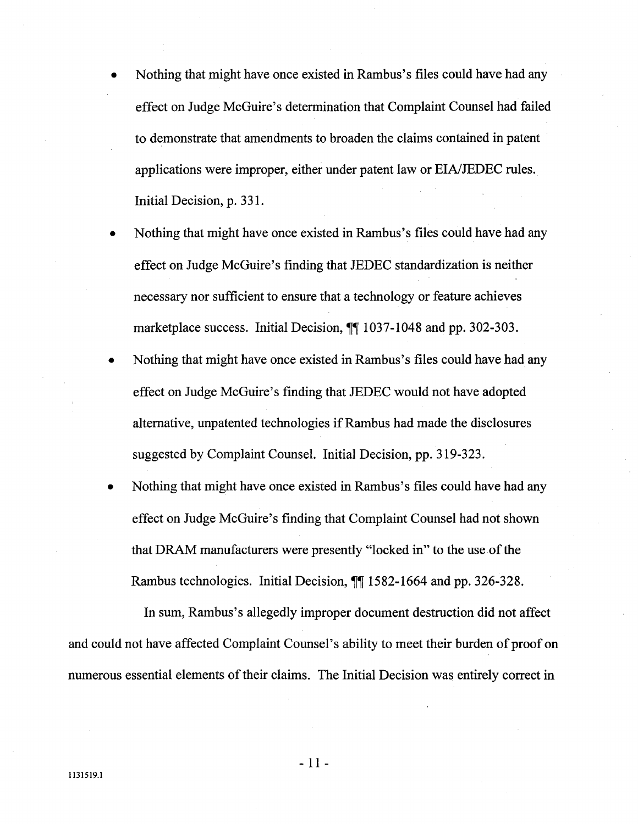- Nothing that might have once existed in Rambus's files could have had any effect on Judge McGuire's determination that Complaint Counsel had failed to demonstrate that amendments to broaden the claims contained in patent applications were improper, either under patent law or EIA/JEDEC rules. Initial Decision, p. 331.
- Nothing that might have once existed in Rambus's files could have had any effect on Judge McGuire's finding that JEDEC standardization is neither necessary nor sufficient to ensure that a technology or feature achieves marketplace success. Initial Decision,  $\sqrt{\parallel 1037 - 1048}$  and pp. 302-303.
- Nothing that might have once existed in Rambus's files could have had any effect on Judge McGuire's finding that JEDEC would not have adopted alternative, unpatented technologies ifRambus had made the disclosures suggested by Complaint Counsel. Initial Decision, pp. 319-323.
- Nothing that might have once existed in Rambus's files could have had any effect on Judge McGuire's finding that Complaint Counsel had not shown that DRAM manufacturers were presently "locked in" to the use of the Rambus technologies. Initial Decision,  $\mathbb{I}$  1582-1664 and pp. 326-328.

In sum, Rambus's allegedly improper document destruction did not affect and could not have affected Complaint Counsel's ability to meet their burden of proof on numerous essential elements of their claims. The Initial Decision was entirely correct in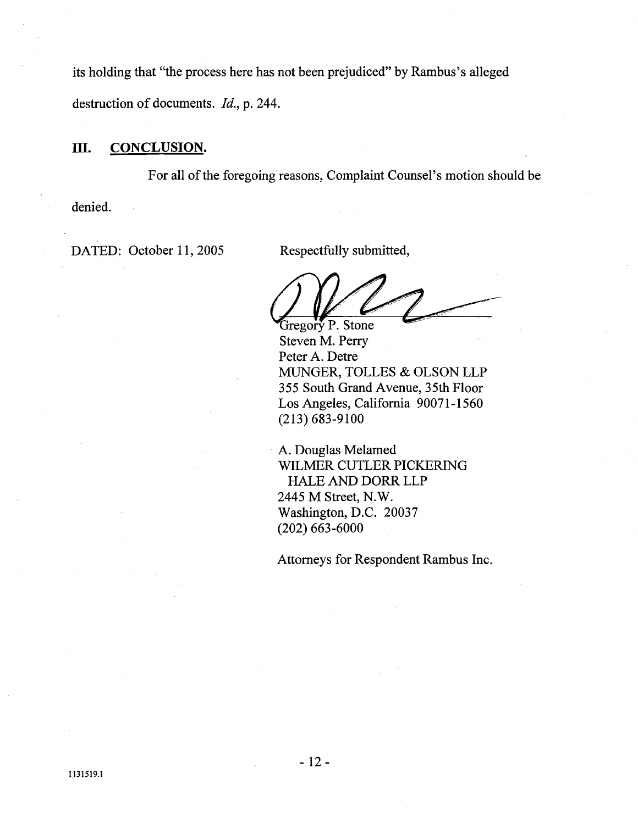its holding that "the process here has not been prejudiced" by Rambus's alleged destruction of documents. *Id.*, p. 244.

## III. CONCLUSION.

For all of the foregoing reasons, Complaint Counsel's motion should be denied.

DATED: October 11, 2005 Respectfully submitted,

 $\ell$  . Gregory P. Stone

Steven M. Perr Peter A. Detre MUGER, TOLLES & OLSON LLP 355 South Grand Avenue, 35th Floor Los Angeles, California 90071-1560 (213) 683-9100

A. Douglas Melamed WILMER CUTLER PICKERING HALE AND DORR LLP 2445 M Street, N. Washington, D.C. 20037 (202) 663-6000

Attorneys for Respondent Rambus Inc.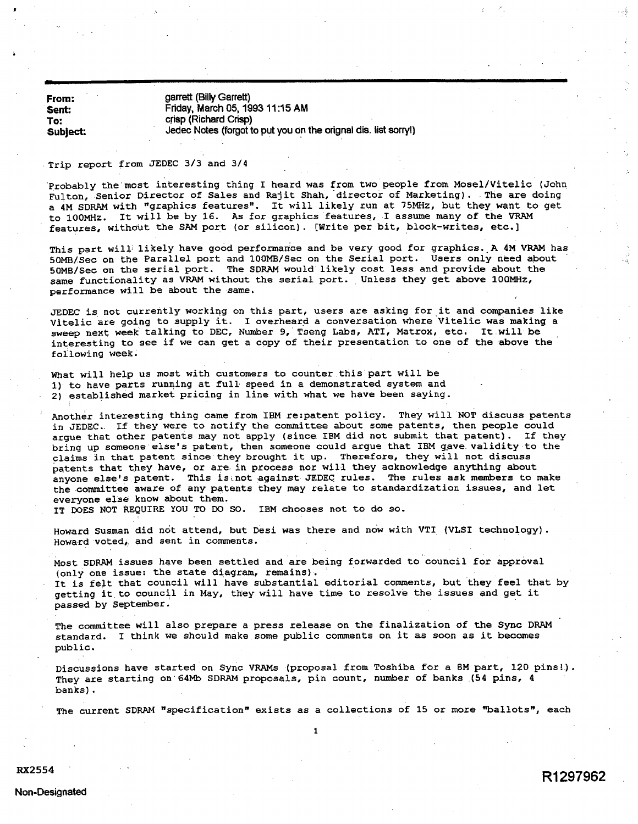From: Sent: To: Subject: garrett (Billy Garrett) Friday. March OS, 1993 11 :15 AM crisp (Richard Crisp) Jedec Notes (forgot to put you on the orignal dis. list sorry!)

### . Trip report from JEDEC 3/3 and 3/4

Probably the most interesting thing I heard was from two people from Mosel/Vitelic (John Fulton, Senior Director of Sales and Rajit Shah, director of Marketing). The are doing a 4M SDRAM with "graphics features". It will likely run at 75MHz, but they want to get to 100MHz. It will be by 16. As for graphics features, I assume many of the VRAM features, without the SAM port (or silicon). [Write per bit, block-writes, etc.]

This part will likely have good performance and be very good for graphics. A 4M VRAM has 50MB/See on the Parallel port and 100MB/See on the Serial port. Users only need apout 50MB/Sec on the serial port. The SDRAM would likely cost less and provide about the<br>same functionality as VRAM without the serial port. Unless they get above 100MHz, performance will be about the same.

JEDEC is not currently working on this part, users are asking for it and companies like Vitelic are going to supply it. I overheard a conversation where Vitelic was making a sweep next week talking to DEC, Number 9, Tseng Labs, ATI, Matrox, etc. It will be interesting to see if we can get a copy of their presentation to one of the above the following week

What will help us most with customers to counter this part will be 1) to have parts running at full speed in a demonstrated system and 2) established market pricing in line with what we have been saying.

Another interesting thing came from IBM re:patent policy. They will NOT discuss patents in JEDEC.. If they were to notify the committee about some patents, then people could argue that other patents may not apply (since IBM did not submit that patent). If they bring up someone else's patent, then someone could argue that IBM gave validity to the claims in that patent since they brought it up. Therefore, they will not discuss patents that they have, or are in process nor will they acknowledge anything about<br>anyone else's patent. This is not against JEDEC rules. The rules ask members to make the committee aware of any patents they may relate to standardization issues, and let everyone else know about them.

IT DOES NOT REQUIRE YOU TO DO SO. IBM chooses not to do so.

Howard Susman did not attend, but Desi was there and now with VTI (VLSI technology). Howard voted, and sent in comments.

Most SDRAM issues have been settled and are being forwarded to council for approval (only one issue: the state diagram, remains).<br>It is felt that council will have substantial editorial comments, but they feel that by

getting it to council in May, they will have time to resolve the issues and get it passed by September.

The committee will also prepare a press release on the finalization of the Sync DRA standard. I think we should make some public comments on it as soon as it becomes public.

Discussions have started on Sync VRAMs (proposal from Toshiba for a 8M part, 120 pins!). They are starting on 64Mb SDRAM proposals, pin count, number of banks (54 pins, 4 banks) .

The current SDRAM "specification" exists as a collections of 15 or more "ballots", each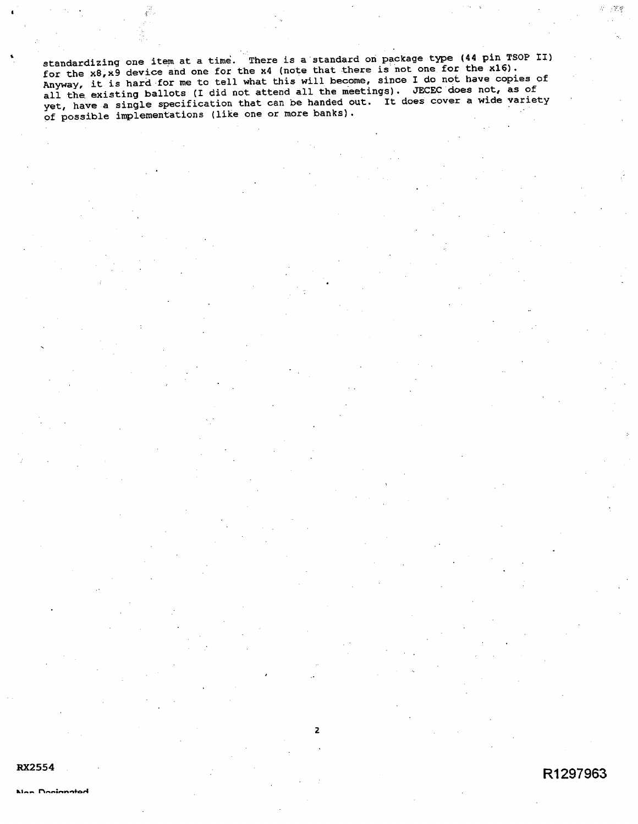standardizing one item at a time. There is a standard on package type (44 pin TSOP II)<br>for the x8,x9 device and one for the x4 (note that there is not one for the x16). Anyway, it is hard for me to tell what this will become, since I do not have copies of Anyway, it is hard for me of the mattend all the meetings). JECEC does not, as of<br>all the existing ballots (I did not attend all the meetings). JECEC does not, as of yet, have a single specification that can be handed out. It does cover a wide variety of possible implementations (like one or more banks)

 $\overline{2}$ 

R1297963